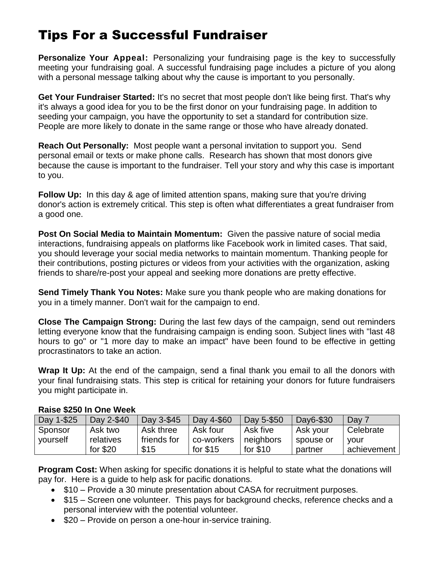## Tips For a Successful Fundraiser

**Personalize Your Appeal:** Personalizing your fundraising page is the key to successfully meeting your fundraising goal. A successful fundraising page includes a picture of you along with a personal message talking about why the cause is important to you personally.

**Get Your Fundraiser Started:** It's no secret that most people don't like being first. That's why it's always a good idea for you to be the first donor on your fundraising page. In addition to seeding your campaign, you have the opportunity to set a standard for contribution size. People are more likely to donate in the same range or those who have already donated.

**Reach Out Personally:** Most people want a personal invitation to support you. Send personal email or texts or make phone calls. Research has shown that most donors give because the cause is important to the fundraiser. Tell your story and why this case is important to you.

**Follow Up:** In this day & age of limited attention spans, making sure that you're driving donor's action is extremely critical. This step is often what differentiates a great fundraiser from a good one.

**Post On Social Media to Maintain Momentum:** Given the passive nature of social media interactions, fundraising appeals on platforms like Facebook work in limited cases. That said, you should leverage your social media networks to maintain momentum. Thanking people for their contributions, posting pictures or videos from your activities with the organization, asking friends to share/re-post your appeal and seeking more donations are pretty effective.

**Send Timely Thank You Notes:** Make sure you thank people who are making donations for you in a timely manner. Don't wait for the campaign to end.

**Close The Campaign Strong:** During the last few days of the campaign, send out reminders letting everyone know that the fundraising campaign is ending soon. Subject lines with "last 48 hours to go" or "1 more day to make an impact" have been found to be effective in getting procrastinators to take an action.

**Wrap It Up:** At the end of the campaign, send a final thank you email to all the donors with your final fundraising stats. This step is critical for retaining your donors for future fundraisers you might participate in.

| Day 1-\$25 | Day 2-\$40 | Day 3-\$45  | Day 4-\$60 | Day 5-\$50 | Day6-\$30 | Day 7       |
|------------|------------|-------------|------------|------------|-----------|-------------|
| Sponsor    | Ask two    | Ask three   | Ask four   | Ask five   | Ask your  | Celebrate   |
| yourself   | relatives  | friends for | co-workers | neighbors  | spouse or | vour        |
|            | for $$20$  | \$15        | for $$15$  | for $$10$  | partner   | achievement |

## **Raise \$250 In One Week**

**Program Cost:** When asking for specific donations it is helpful to state what the donations will pay for. Here is a guide to help ask for pacific donations.

- $$10 -$  Provide a 30 minute presentation about CASA for recruitment purposes.
- \$15 Screen one volunteer. This pays for background checks, reference checks and a personal interview with the potential volunteer.
- \$20 Provide on person a one-hour in-service training.